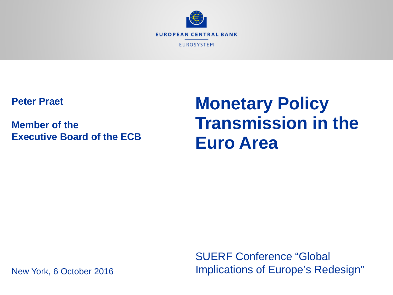

**Peter Praet**

**Member of the Executive Board of the ECB**

# **Monetary Policy Transmission in the Euro Area**

New York, 6 October 2016

SUERF Conference "Global Implications of Europe's Redesign"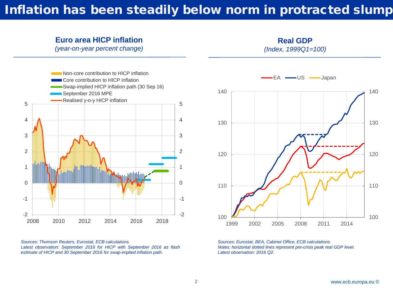## Inflation has been steadily below norm in protracted slump

### **Euro area HICP inflation**

*(year-on-year percent change)*

**Real GDP** *(Index, 1999Q1=100)*



*Sources: Thomson Reuters, Eurostat, ECB calculations. Latest observation: September 2016 for HICP with September 2016 as flash estimate of HICP and 30 September 2016 for swap-implied inflation path.*



*Sources: Eurostat, BEA, Cabinet Office, ECB calculations. Notes: horizontal dotted lines represent pre-crisis peak real GDP level. Latest observation: 2016 Q2.*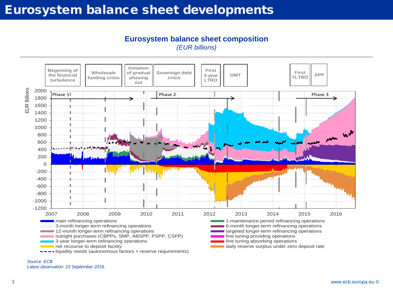## Eurosystem balance sheet developments

**Eurosystem balance sheet composition** *(EUR billions)*



*Source: ECB Latest observation: 23 September 2016.*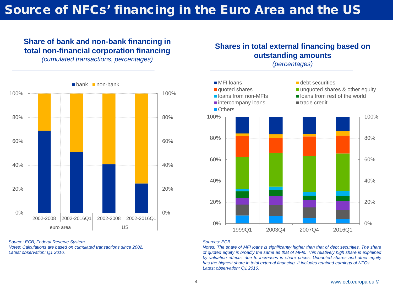## Source of NFCs' financing in the Euro Area and the US

### **Share of bank and non-bank financing in total non-financial corporation financing**

*(cumulated transactions, percentages)*



*Source: ECB, Federal Reserve System. Notes: Calculations are based on cumulated transactions since 2002. Latest observation: Q1 2016.*

### **Shares in total external financing based on outstanding amounts** *(percentages)*



#### *Sources: ECB.*

*Notes: The share of MFI loans is significantly higher than that of debt securities. The share of quoted equity is broadly the same as that of MFIs. This relatively high share is explained by valuation effects, due to increases in share prices. Unquoted shares and other equity has the highest share in total external financing. It includes retained earnings of NFCs. Latest observation: Q1 2016.*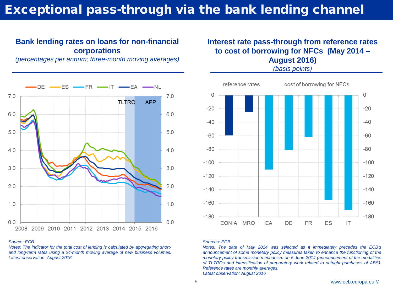## Exceptional pass-through via the bank lending channel

### **Bank lending rates on loans for non-financial corporations**

*(percentages per annum; three-month moving averages)*



#### *Source: ECB.*

*Notes: The indicator for the total cost of lending is calculated by aggregating shortand long-term rates using a 24-month moving average of new business volumes. Latest observation: August 2016.*

### **Interest rate pass-through from reference rates to cost of borrowing for NFCs (May 2014 – August 2016)**

*(basis points)*



#### *Sources: ECB.*

*Notes: The date of May 2014 was selected as it immediately precedes the ECB's announcement of some monetary policy measures taken to enhance the functioning of the monetary policy transmission mechanism on 5 June 2014 (announcement of the modalities of TLTROs and intensification of preparatory work related to outright purchases of ABS). Reference rates are monthly averages. Latest observation: August 2016*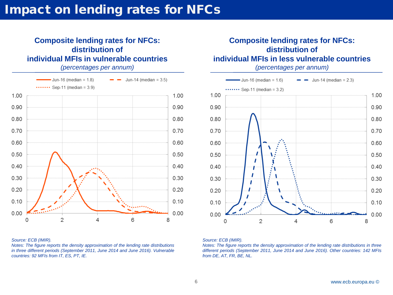## Impact on lending rates for NFCs

### **Composite lending rates for NFCs: distribution of individual MFIs in vulnerable countries**

*(percentages per annum)*



#### *Source: ECB (IMIR).*

*Notes: The figure reports the density approximation of the lending rate distributions in three different periods (September 2011, June 2014 and June 2016). Vulnerable countries: 92 MFIs from IT, ES, PT, IE.*

### **Composite lending rates for NFCs: distribution of individual MFIs in less vulnerable countries**

*(percentages per annum)*



#### *Source: ECB (IMIR).*

*Notes: The figure reports the density approximation of the lending rate distributions in three different periods (September 2011, June 2014 and June 2016). Other countries: 142 MFIs from DE, AT, FR, BE, NL.*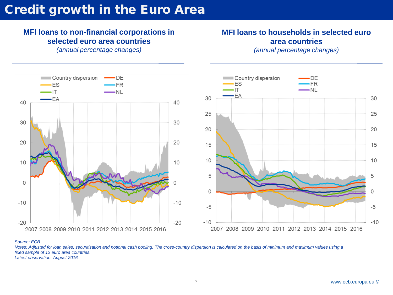## **Credit growth in the Euro Area**

### **MFI loans to non-financial corporations in selected euro area countries**

*(annual percentage changes)*

2007 2008 2009 2010 2011 2012 2013 2014 2015 2016

Country dispersion

**ES** 

 $\cdot$ IT

 $-EA$ 

### **MFI loans to households in selected euro area countries**  *(annual percentage changes)*

·DE

 $-FR$ 

 $-NI$ 



#### *Source: ECB.*

40

30

20

10

0

 $-10$ 

 $-20$ 

*Notes: Adjusted for loan sales, securitisation and notional cash pooling. The cross-country dispersion is calculated on the basis of minimum and maximum values using a fixed sample of 12 euro area countries. Latest observation: August 2016.*

40

30

20

 $10$ 

Ω

 $-10$ 

 $-20$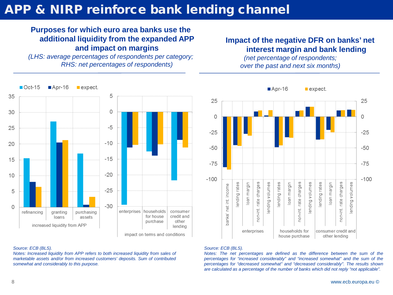## APP & NIRP reinforce bank lending channel

### **Purposes for which euro area banks use the additional liquidity from the expanded APP and impact on margins**

*(LHS: average percentages of respondents per category; RHS: net percentages of respondents)*

### **Impact of the negative DFR on banks' net interest margin and bank lending**

*(net percentage of respondents; over the past and next six months)*



#### $Apr-16$  $\blacksquare$  expect.



#### *Source: ECB (BLS).*

*Notes: Increased liquidity from APP refers to both increased liquidity from sales of marketable assets and/or from increased customers' deposits. Sum of contributed somewhat and considerably to this purpose.*

#### *Source: ECB (BLS).*

*Notes: The net percentages are defined as the difference between the sum of the percentages for "increased considerably" and "increased somewhat" and the sum of the percentages for "decreased somewhat" and "decreased considerably". The results shown are calculated as a percentage of the number of banks which did not reply "not applicable".*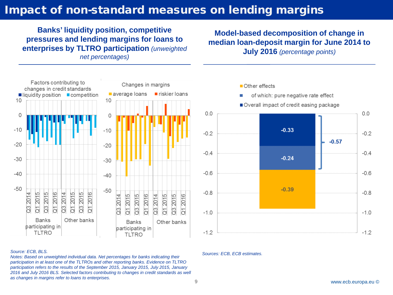## Impact of non-standard measures on lending margins

**Banks' liquidity position, competitive pressures and lending margins for loans to enterprises by TLTRO participation** *(unweighted net percentages)*

**Model-based decomposition of change in median loan-deposit margin for June 2014 to July 2016** *(percentage points)*



#### *Source: ECB, BLS.*

*Notes: Based on unweighted individual data. Net percentages for banks indicating their participation in at least one of the TLTROs and other reporting banks. Evidence on TLTRO participation refers to the results of the September 2015, January 2015, July 2015, January*  2016 and July 2016 BLS. Selected factors contributing to changes in credit standards as well *as changes in margins refer to loans to enterprises.*



*Sources: ECB, ECB estimates.*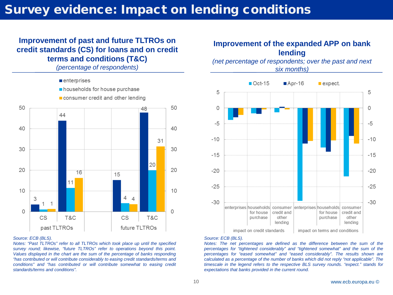## Survey evidence: Impact on lending conditions

### **Improvement of past and future TLTROs on credit standards (CS) for loans and on credit terms and conditions (T&C)**

*(percentage of respondents)*



#### *Source: ECB (BLS).*

*Notes: "Past TLTROs" refer to all TLTROs which took place up until the specified survey round; likewise, "future TLTROs" refer to operations beyond this point. Values displayed in the chart are the sum of the percentage of banks responding "has contributed or will contribute considerably to easing credit standards/terms and conditions" and "has contributed or will contribute somewhat to easing credit standards/terms and conditions".*

### **Improvement of the expanded APP on bank lending**

*(net percentage of respondents; over the past and next six months)*



#### *Source: ECB (BLS).*

*Notes: The net percentages are defined as the difference between the sum of the percentages for "tightened considerably" and "tightened somewhat" and the sum of the percentages for "eased somewhat" and "eased considerably". The results shown are calculated as a percentage of the number of banks which did not reply "not applicable". The timescale in the legend refers to the respective BLS survey rounds. "expect." stands for expectations that banks provided in the current round.*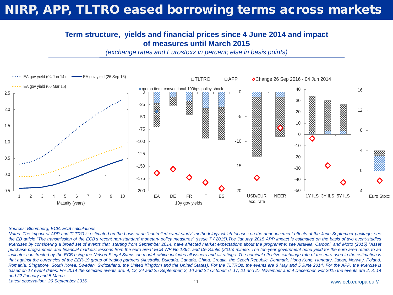## NIRP, APP, TLTRO eased borrowing terms across markets

### **Term structure, yields and financial prices since 4 June 2014 and impact of measures until March 2015**

*(exchange rates and Eurostoxx in percent; else in basis points)* 



#### *Sources: Bloomberg, ECB, ECB calculations.*

Notes: The impact of APP and TLTRO is estimated on the basis of an "controlled event-study" methodology which focuses on the announcement effects of the June-September package; see the EB article "The transmission of the ECB's recent non-standard monetary policy measures" (Issue 7/2015). The January 2015 APP impact is estimated on the basis of two event-studies exercises by considering a broad set of events that, starting from September 2014, have affected market expectations about the programme; see Altavilla, Carboni, and Motto (2015) "Asset purchase programmes and financial markets: lessons from the euro area" ECB WP No 1864, and De Santis (2015) mimeo. The ten-year government bond yield for the euro area refers to an indicator constructed by the ECB using the Nelson-Siegel-Svensson model, which includes all issuers and all ratings. The nominal effective exchange rate of the euro used in the estimation is that against the currencies of the EER-19 group of trading partners (Australia, Bulgaria, Canada, China, Croatia, the Czech Republic, Denmark, Hong Kong, Hungary, Japan, Norway, Poland, Romania, Singapore, South Korea, Sweden, Switzerland, the United Kingdom and the United States). For the TLTROs, the events are 8 May and 5 June 2014. For the APP, the exercise is based on 17 event dates. For 2014 the selected events are: 4, 12, 24 and 25 September; 2, 10 and 24 October; 6, 17, 21 and 27 November and 4 December. For 2015 the events are 2, 8, 14 *and 22 January and 5 March.*

*Latest observation: 26 September 2016.*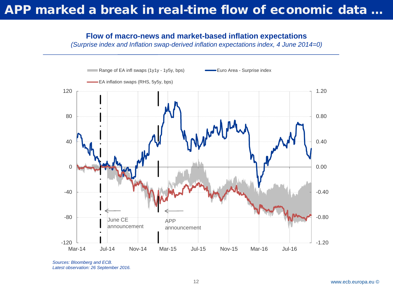## APP marked a break in real-time flow of economic data ...

### **Flow of macro-news and market-based inflation expectations**

*(Surprise index and Inflation swap-derived inflation expectations index, 4 June 2014=0)*



*Sources: Bloomberg and ECB. Latest observation: 26 September 2016.*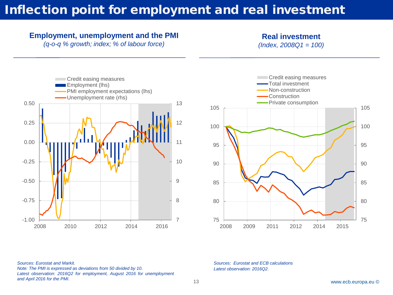## Inflection point for employment and real investment

### **Employment, unemployment and the PMI**

*(q-o-q % growth; index; % of labour force)*

**Real investment**

*(Index, 2008Q1 = 100)* 





*Sources: Eurostat and Markit. Note: The PMI is expressed as deviations from 50 divided by 10. Latest observation: 2016Q2 for employment, August 2016 for unemployment and April 2016 for the PMI.*

*Sources: Eurostat and ECB calculations Latest observation: 2016Q2.*